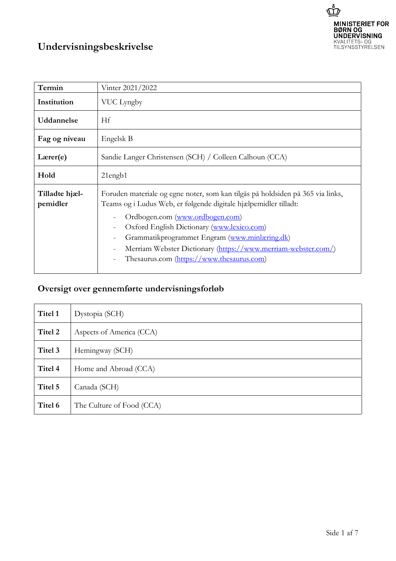

## **Undervisningsbeskrivelse**

| Termin                     | Vinter 2021/2022                                                                                                                                                                                                                                                                                                                                                                                   |
|----------------------------|----------------------------------------------------------------------------------------------------------------------------------------------------------------------------------------------------------------------------------------------------------------------------------------------------------------------------------------------------------------------------------------------------|
| Institution                | VUC Lyngby                                                                                                                                                                                                                                                                                                                                                                                         |
| <b>Uddannelse</b>          | Hf                                                                                                                                                                                                                                                                                                                                                                                                 |
| Fag og niveau              | Engelsk B                                                                                                                                                                                                                                                                                                                                                                                          |
| $L \text{arer}(e)$         | Sandie Langer Christensen (SCH) / Colleen Calhoun (CCA)                                                                                                                                                                                                                                                                                                                                            |
| Hold                       | $21$ engb $1$                                                                                                                                                                                                                                                                                                                                                                                      |
| Tilladte hjæl-<br>pemidler | Foruden materiale og egne noter, som kan tilgås på holdsiden på 365 via links,<br>Teams og i Ludus Web, er følgende digitale hjælpemidler tilladt:<br>Ordbogen.com (www.ordbogen.com)<br>Oxford English Dictionary (www.lexico.com)<br>Grammatikprogrammet Engram (www.minlæring.dk)<br>Merriam Webster Dictionary (https://www.merriam-webster.com/)<br>Thesaurus.com (https://www.thesaurus.com) |

## **Oversigt over gennemførte undervisningsforløb**

| Titel 1 | Dystopia (SCH)            |
|---------|---------------------------|
| Titel 2 | Aspects of America (CCA)  |
| Titel 3 | Hemingway (SCH)           |
| Titel 4 | Home and Abroad (CCA)     |
| Titel 5 | Canada (SCH)              |
| Titel 6 | The Culture of Food (CCA) |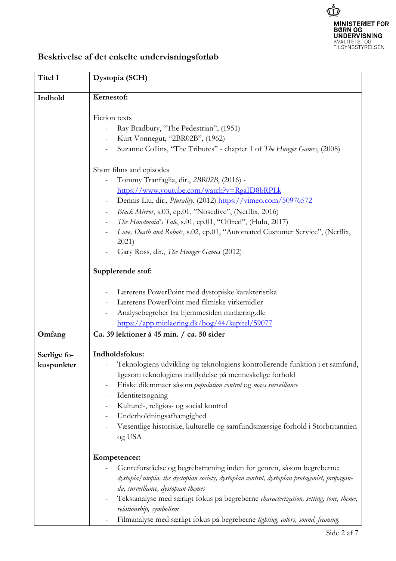

## **Beskrivelse af det enkelte undervisningsforløb**

| Titel 1     | Dystopia (SCH)                                                                                                                                                                                                                                                                                                                                                                                                                                   |
|-------------|--------------------------------------------------------------------------------------------------------------------------------------------------------------------------------------------------------------------------------------------------------------------------------------------------------------------------------------------------------------------------------------------------------------------------------------------------|
| Indhold     | Kernestof:                                                                                                                                                                                                                                                                                                                                                                                                                                       |
|             | <b>Fiction</b> texts<br>Ray Bradbury, "The Pedestrian", (1951)<br>Kurt Vonnegut, "2BR02B", (1962)<br>Suzanne Collins, "The Tributes" - chapter 1 of The Hunger Games, (2008)                                                                                                                                                                                                                                                                     |
|             | Short films and episodes<br>Tommy Tranfaglia, dir., 2BR02B, (2016) -<br>https://www.youtube.com/watch?v=RgaID8bRPLk<br>Dennis Liu, dir., Plurality, (2012) https://vimeo.com/50976572<br>Black Mirror, s.03, ep.01, "Nosedive", (Netflix, 2016)<br>The Handmaid's Tale, s.01, ep.01, "Offred", (Hulu, 2017)<br>Love, Death and Robots, s.02, ep.01, "Automated Customer Service", (Netflix,<br>2021)<br>Gary Ross, dir., The Hunger Games (2012) |
|             | Supplerende stof:                                                                                                                                                                                                                                                                                                                                                                                                                                |
|             | Lærerens PowerPoint med dystopiske karakteristika<br>Lærerens PowerPoint med filmiske virkemidler<br>Analysebegreber fra hjemmesiden minlæring.dk:<br>https://app.minlaering.dk/bog/44/kapitel/59077                                                                                                                                                                                                                                             |
| Omfang      | Ca. 39 lektioner á 45 min. / ca. 50 sider                                                                                                                                                                                                                                                                                                                                                                                                        |
| Særlige fo- | Indholdsfokus:                                                                                                                                                                                                                                                                                                                                                                                                                                   |
| kuspunkter  | Teknologiens udvikling og teknologiens kontrollerende funktion i et samfund,<br>ligesom teknologiens indflydelse på menneskelige forhold<br>Etiske dilemmaer såsom population control og mass surveillance<br>Identitetsogning<br>Kulturel-, religiøs- og social kontrol<br>Underholdningsafhængighed<br>Væsentlige historiske, kulturelle og samfundsmæssige forhold i Storbritannien<br>og USA                                                 |
|             | Kompetencer:                                                                                                                                                                                                                                                                                                                                                                                                                                     |
|             | Genreforståelse og begrebstræning inden for genren, såsom begreberne:<br>dystopia/utopia, the dystopian society, dystopian control, dystopian protagonist, propagan-<br>da, surveillance, dystopian themes<br>Tekstanalyse med særligt fokus på begreberne characterization, setting, tone, theme,<br>relationship, symbolism<br>Filmanalyse med særligt fokus på begreberne lighting, colors, sound, framing.                                   |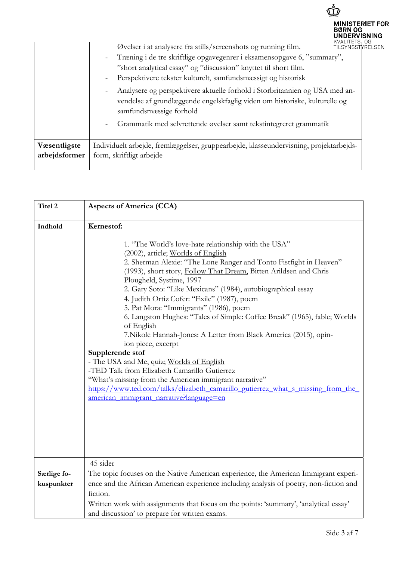|                               |                                                                                                                                                                                                                                                                                                                                                                                                                                                                                                                                                                         | <b>MINISTERIET FOR</b><br><b>BØRN OG</b><br>UNDERVISNING<br><del>KVALITETS,</del> OG |
|-------------------------------|-------------------------------------------------------------------------------------------------------------------------------------------------------------------------------------------------------------------------------------------------------------------------------------------------------------------------------------------------------------------------------------------------------------------------------------------------------------------------------------------------------------------------------------------------------------------------|--------------------------------------------------------------------------------------|
|                               | Øvelser i at analysere fra stills/screenshots og running film.<br>Træning i de tre skriftlige opgavegenrer i eksamensopgave 6, "summary",<br>"short analytical essay" og "discussion" knyttet til short film.<br>Perspektivere tekster kulturelt, samfundsmæssigt og historisk<br>Analysere og perspektivere aktuelle forhold i Storbritannien og USA med an-<br>$\overline{\phantom{a}}$<br>vendelse af grundlæggende engelskfaglig viden om historiske, kulturelle og<br>samfundsmæssige forhold<br>Grammatik med selvrettende øvelser samt tekstintegreret grammatik | <b>TILSYNSSTYRELSEN</b>                                                              |
| Væsentligste<br>arbejdsformer | Individuelt arbejde, fremlæggelser, gruppearbejde, klasseundervisning, projektarbejds-<br>form, skriftligt arbejde                                                                                                                                                                                                                                                                                                                                                                                                                                                      |                                                                                      |

| Titel 2     | <b>Aspects of America (CCA)</b>                                                                                                                                                                                                                                                                                                                                                                                                                                                                                                                                                                                                                                                                                                                                                                                                                                                                                                          |
|-------------|------------------------------------------------------------------------------------------------------------------------------------------------------------------------------------------------------------------------------------------------------------------------------------------------------------------------------------------------------------------------------------------------------------------------------------------------------------------------------------------------------------------------------------------------------------------------------------------------------------------------------------------------------------------------------------------------------------------------------------------------------------------------------------------------------------------------------------------------------------------------------------------------------------------------------------------|
| Indhold     | Kernestof:<br>1. "The World's love-hate relationship with the USA"<br>(2002), article; Worlds of English<br>2. Sherman Alexie: "The Lone Ranger and Tonto Fistfight in Heaven"<br>(1993), short story, Follow That Dream, Bitten Arildsen and Chris<br>Plougheld, Systime, 1997<br>2. Gary Soto: "Like Mexicans" (1984), autobiographical essay<br>4. Judith Ortiz Cofer: "Exile" (1987), poem<br>5. Pat Mora: "Immigrants" (1986), poem<br>6. Langston Hughes: "Tales of Simple: Coffee Break" (1965), fable; Worlds<br>of English<br>7. Nikole Hannah-Jones: A Letter from Black America (2015), opin-<br>ion piece, excerpt<br>Supplerende stof<br>- The USA and Me, quiz; Worlds of English<br>-TED Talk from Elizabeth Camarillo Gutierrez<br>"What's missing from the American immigrant narrative"<br>https://www.ted.com/talks/elizabeth camarillo gutierrez what s missing from the<br>american immigrant narrative?language=en |
| Særlige fo- | 45 sider<br>The topic focuses on the Native American experience, the American Immigrant experi-                                                                                                                                                                                                                                                                                                                                                                                                                                                                                                                                                                                                                                                                                                                                                                                                                                          |
| kuspunkter  | ence and the African American experience including analysis of poetry, non-fiction and                                                                                                                                                                                                                                                                                                                                                                                                                                                                                                                                                                                                                                                                                                                                                                                                                                                   |
|             | fiction.                                                                                                                                                                                                                                                                                                                                                                                                                                                                                                                                                                                                                                                                                                                                                                                                                                                                                                                                 |
|             | Written work with assignments that focus on the points: 'summary', 'analytical essay'                                                                                                                                                                                                                                                                                                                                                                                                                                                                                                                                                                                                                                                                                                                                                                                                                                                    |
|             | and discussion' to prepare for written exams.                                                                                                                                                                                                                                                                                                                                                                                                                                                                                                                                                                                                                                                                                                                                                                                                                                                                                            |

 $\vec{\mathbb{P}}$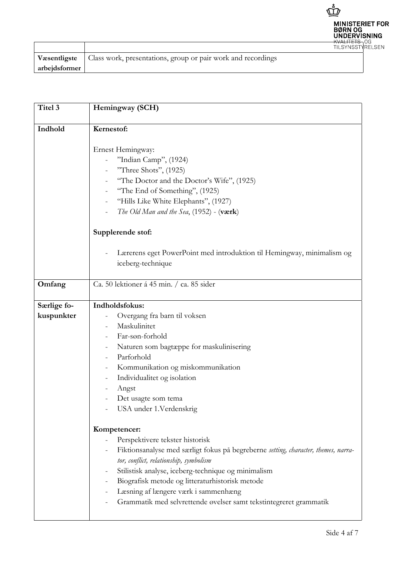

|               | <b>V</b> asentligste   Class work, presentations, group or pair work and recordings |
|---------------|-------------------------------------------------------------------------------------|
| arbejdsformer |                                                                                     |

| Titel 3                   | Hemingway (SCH)                                                                                                                                                                                                                                                                                                                                                                                                                                                |
|---------------------------|----------------------------------------------------------------------------------------------------------------------------------------------------------------------------------------------------------------------------------------------------------------------------------------------------------------------------------------------------------------------------------------------------------------------------------------------------------------|
| Indhold                   | Kernestof:                                                                                                                                                                                                                                                                                                                                                                                                                                                     |
|                           | Ernest Hemingway:<br>"Indian Camp", (1924)<br>"Three Shots", (1925)<br>"The Doctor and the Doctor's Wife", (1925)<br>"The End of Something", (1925)<br>"Hills Like White Elephants", (1927)<br>The Old Man and the Sea, $(1952)$ - $(\text{værk})$                                                                                                                                                                                                             |
|                           | Supplerende stof:                                                                                                                                                                                                                                                                                                                                                                                                                                              |
|                           | Lærerens eget PowerPoint med introduktion til Hemingway, minimalism og<br>iceberg-technique                                                                                                                                                                                                                                                                                                                                                                    |
| Omfang                    | Ca. 50 lektioner á 45 min. / ca. 85 sider                                                                                                                                                                                                                                                                                                                                                                                                                      |
| Særlige fo-<br>kuspunkter | Indholdsfokus:<br>Overgang fra barn til voksen<br>Maskulinitet<br>Far-søn-forhold<br>Naturen som bagtæppe for maskulinisering<br>Parforhold<br>Kommunikation og miskommunikation<br>Individualitet og isolation<br>Angst<br>Det usagte som tema<br>USA under 1.Verdenskrig                                                                                                                                                                                     |
|                           | Kompetencer:<br>Perspektivere tekster historisk<br>Fiktionsanalyse med særligt fokus på begreberne setting, character, themes, narra-<br>tor, conflict, relationship, symbolism<br>Stilistisk analyse, iceberg-technique og minimalism<br>$\overline{\phantom{0}}$<br>Biografisk metode og litteraturhistorisk metode<br>$\overline{\phantom{0}}$<br>Læsning af længere værk i sammenhæng<br>Grammatik med selvrettende øvelser samt tekstintegreret grammatik |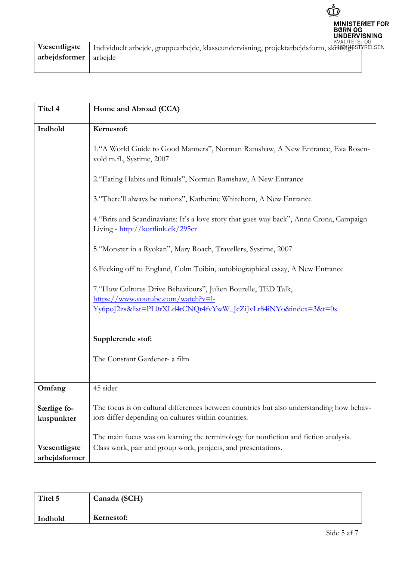

| Væsentligste          | Individuelt arbejde, gruppearbejde, klasseundervisning, projektarbejdsform, skHftHeHgeSTYRELSEN |  |
|-----------------------|-------------------------------------------------------------------------------------------------|--|
| arbejdsformer arbejde |                                                                                                 |  |
|                       |                                                                                                 |  |

| Titel 4                       | Home and Abroad (CCA)                                                                                                                                                  |
|-------------------------------|------------------------------------------------------------------------------------------------------------------------------------------------------------------------|
| Indhold                       | Kernestof:                                                                                                                                                             |
|                               | 1. "A World Guide to Good Manners", Norman Ramshaw, A New Entrance, Eva Rosen-<br>vold m.fl., Systime, 2007                                                            |
|                               | 2. "Eating Habits and Rituals", Norman Ramshaw, A New Entrance                                                                                                         |
|                               | 3. "There'll always be nations", Katherine Whitehorn, A New Entrance                                                                                                   |
|                               | 4. "Brits and Scandinavians: It's a love story that goes way back", Anna Crona, Campaign<br>Living - http://kortlink.dk/295cr                                          |
|                               | 5. "Monster in a Ryokan", Mary Roach, Travellers, Systime, 2007                                                                                                        |
|                               | 6. Fecking off to England, Colm Toibin, autobiographical essay, A New Entrance                                                                                         |
|                               | 7. "How Cultures Drive Behaviours", Julien Bourelle, TED Talk,<br>https://www.youtube.com/watch?v=l-<br>Yv6poJ2zs&list=PL0rXLd4tCNQt4fvYwW_JcZiJvLr84iNYo&index=3&t=0s |
|                               | Supplerende stof:<br>The Constant Gardener- a film                                                                                                                     |
| Omfang                        | 45 sider                                                                                                                                                               |
| Særlige fo-<br>kuspunkter     | The focus is on cultural differences between countries but also understanding how behav-<br>iors differ depending on cultures within countries.                        |
|                               | The main focus was on learning the terminology for nonfiction and fiction analysis.                                                                                    |
| Væsentligste<br>arbejdsformer | Class work, pair and group work, projects, and presentations.                                                                                                          |

| Titel 5 | Canada (SCH) |
|---------|--------------|
| Indhold | Kernestof:   |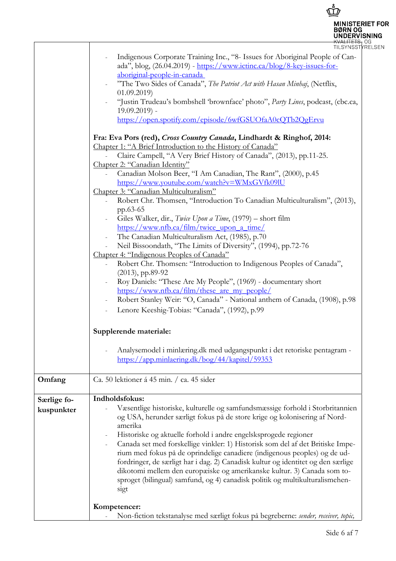

| <del>nvarne o</del> vo  |  |
|-------------------------|--|
| <b>TILSYNSSTYRELSEN</b> |  |

|             | TILSYNSSTYI                                                                                                                                                                                                                                                                                                                                                                                                                                          |
|-------------|------------------------------------------------------------------------------------------------------------------------------------------------------------------------------------------------------------------------------------------------------------------------------------------------------------------------------------------------------------------------------------------------------------------------------------------------------|
|             | Indigenous Corporate Training Inc., "8- Issues for Aboriginal People of Can-<br>ada", blog, $(26.04.2019)$ - https://www.ictinc.ca/blog/8-key-issues-for-<br>aboriginal-people-in-canada<br>"The Two Sides of Canada", The Patriot Act with Hasan Minhaj, (Netflix,<br>(01.09.2019)<br>"Justin Trudeau's bombshell 'brownface' photo", Party Lines, podcast, (cbc.ca,<br>$19.09.2019$ ) -<br>https://open.spotify.com/episode/6wfGSUOfaA0cQTb2QgErvu |
|             | Fra: Eva Pors (red), Cross Country Canada, Lindhardt & Ringhof, 2014:                                                                                                                                                                                                                                                                                                                                                                                |
|             | Chapter 1: "A Brief Introduction to the History of Canada"                                                                                                                                                                                                                                                                                                                                                                                           |
|             | Claire Campell, "A Very Brief History of Canada", (2013), pp.11-25.                                                                                                                                                                                                                                                                                                                                                                                  |
|             | Chapter 2: "Canadian Identity"                                                                                                                                                                                                                                                                                                                                                                                                                       |
|             | Canadian Molson Beer, "I Am Canadian, The Rant", (2000), p.45                                                                                                                                                                                                                                                                                                                                                                                        |
|             | https://www.youtube.com/watch?v=WMxGVfk09IU                                                                                                                                                                                                                                                                                                                                                                                                          |
|             | Chapter 3: "Canadian Multiculturalism"                                                                                                                                                                                                                                                                                                                                                                                                               |
|             | Robert Chr. Thomsen, "Introduction To Canadian Multiculturalism", (2013),                                                                                                                                                                                                                                                                                                                                                                            |
|             | pp.63-65                                                                                                                                                                                                                                                                                                                                                                                                                                             |
|             | Giles Walker, dir., Twice Upon a Time, (1979) – short film                                                                                                                                                                                                                                                                                                                                                                                           |
|             | https://www.nfb.ca/film/twice_upon_a_time/                                                                                                                                                                                                                                                                                                                                                                                                           |
|             | The Canadian Multiculturalism Act, (1985), p.70                                                                                                                                                                                                                                                                                                                                                                                                      |
|             | Neil Bissoondath, "The Limits of Diversity", (1994), pp.72-76                                                                                                                                                                                                                                                                                                                                                                                        |
|             | Chapter 4: "Indigenous Peoples of Canada"                                                                                                                                                                                                                                                                                                                                                                                                            |
|             | Robert Chr. Thomsen: "Introduction to Indigenous Peoples of Canada",                                                                                                                                                                                                                                                                                                                                                                                 |
|             | $(2013)$ , pp.89-92                                                                                                                                                                                                                                                                                                                                                                                                                                  |
|             | Roy Daniels: "These Are My People", (1969) - documentary short                                                                                                                                                                                                                                                                                                                                                                                       |
|             | https://www.nfb.ca/film/these are my people/                                                                                                                                                                                                                                                                                                                                                                                                         |
|             | Robert Stanley Weir: "O, Canada" - National anthem of Canada, (1908), p.98                                                                                                                                                                                                                                                                                                                                                                           |
|             | Lenore Keeshig-Tobias: "Canada", (1992), p.99<br>$\overline{\phantom{a}}$                                                                                                                                                                                                                                                                                                                                                                            |
|             | Supplerende materiale:                                                                                                                                                                                                                                                                                                                                                                                                                               |
|             | Analysemodel i minlæring.dk med udgangspunkt i det retoriske pentagram -                                                                                                                                                                                                                                                                                                                                                                             |
|             | https://app.minlaering.dk/bog/44/kapitel/59353                                                                                                                                                                                                                                                                                                                                                                                                       |
|             |                                                                                                                                                                                                                                                                                                                                                                                                                                                      |
| Omfang      | Ca. 50 lektioner á 45 min. / ca. 45 sider                                                                                                                                                                                                                                                                                                                                                                                                            |
| Særlige fo- | Indholdsfokus:                                                                                                                                                                                                                                                                                                                                                                                                                                       |
| kuspunkter  | Væsentlige historiske, kulturelle og samfundsmæssige forhold i Storbritannien                                                                                                                                                                                                                                                                                                                                                                        |
|             | og USA, herunder særligt fokus på de store krige og kolonisering af Nord-                                                                                                                                                                                                                                                                                                                                                                            |
|             | amerika                                                                                                                                                                                                                                                                                                                                                                                                                                              |
|             | Historiske og aktuelle forhold i andre engelsksprogede regioner                                                                                                                                                                                                                                                                                                                                                                                      |
|             | Canada set med forskellige vinkler: 1) Historisk som del af det Britiske Impe-                                                                                                                                                                                                                                                                                                                                                                       |
|             | rium med fokus på de oprindelige canadiere (indigenous peoples) og de ud-                                                                                                                                                                                                                                                                                                                                                                            |
|             | fordringer, de særligt har i dag. 2) Canadisk kultur og identitet og den særlige                                                                                                                                                                                                                                                                                                                                                                     |
|             | dikotomi mellem den europæiske og amerikanske kultur. 3) Canada som to-                                                                                                                                                                                                                                                                                                                                                                              |
|             | sproget (bilingual) samfund, og 4) canadisk politik og multikulturalismehen-                                                                                                                                                                                                                                                                                                                                                                         |
|             | sigt                                                                                                                                                                                                                                                                                                                                                                                                                                                 |
|             |                                                                                                                                                                                                                                                                                                                                                                                                                                                      |
|             | Kompetencer:                                                                                                                                                                                                                                                                                                                                                                                                                                         |
|             | Non-fiction tekstanalyse med særligt fokus på begreberne: sender, receiver, topic,                                                                                                                                                                                                                                                                                                                                                                   |

J